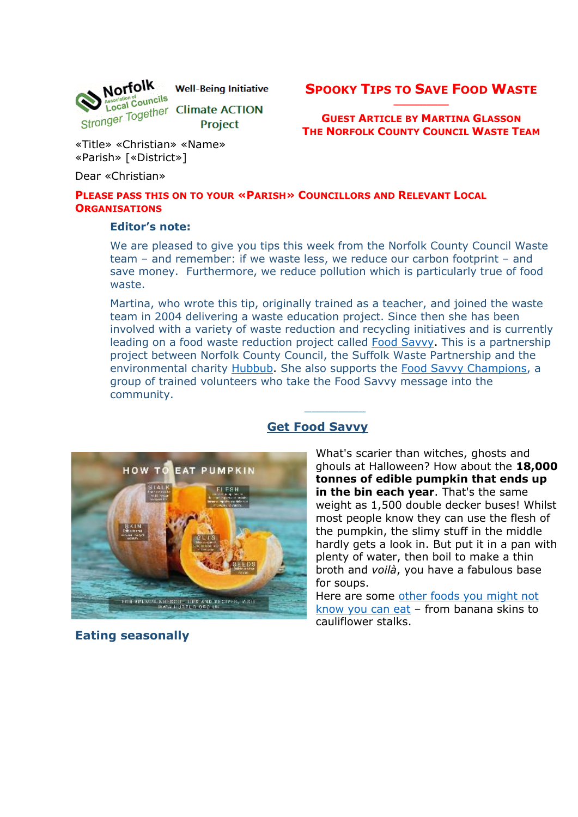

**SPOOKY TIPS TO SAVE FOOD WASTE \_\_\_\_\_\_\_\_\_\_**

**GUEST ARTICLE BY MARTINA GLASSON THE NORFOLK COUNTY COUNCIL WASTE TEAM**

«Title» «Christian» «Name» «Parish» [«District»]

Dear «Christian»

### **PLEASE PASS THIS ON TO YOUR «PARISH» COUNCILLORS AND RELEVANT LOCAL ORGANISATIONS**

### **Editor's note:**

We are pleased to give you tips this week from the Norfolk County Council Waste team – and remember: if we waste less, we reduce our carbon footprint – and save money. Furthermore, we reduce pollution which is particularly true of food waste.

Martina, who wrote this tip, originally trained as a teacher, and joined the waste team in 2004 delivering a waste education project. Since then she has been involved with a variety of waste reduction and recycling initiatives and is currently leading on a food waste reduction project called [Food Savvy.](https://www.foodsavvy.org.uk/) This is a partnership project between Norfolk County Council, the Suffolk Waste Partnership and the environmental charity [Hubbub.](https://www.hubbub.org.uk/) She also supports the [Food Savvy Champions,](https://www.norfolkrecycles.com/food-savvy-champions/) a group of trained volunteers who take the Food Savvy message into the community.

 $\overline{\phantom{a}}$  , where  $\overline{\phantom{a}}$ 



## **Get Food Savvy**

What's scarier than witches, ghosts and ghouls at Halloween? How about the **18,000 tonnes of edible pumpkin that ends up in the bin each year**. That's the same weight as 1,500 double decker buses! Whilst most people know they can use the flesh of the pumpkin, the slimy stuff in the middle hardly gets a look in. But put it in a pan with plenty of water, then boil to make a thin broth and *voilà*, you have a fabulous base for soups.

Here are some [other foods you might not](https://www.foodsavvy.org.uk/5-foods-you-didnt-know-you-could-eat)  [know you can eat](https://www.foodsavvy.org.uk/5-foods-you-didnt-know-you-could-eat) – from banana skins to cauliflower stalks.

**Eating seasonally**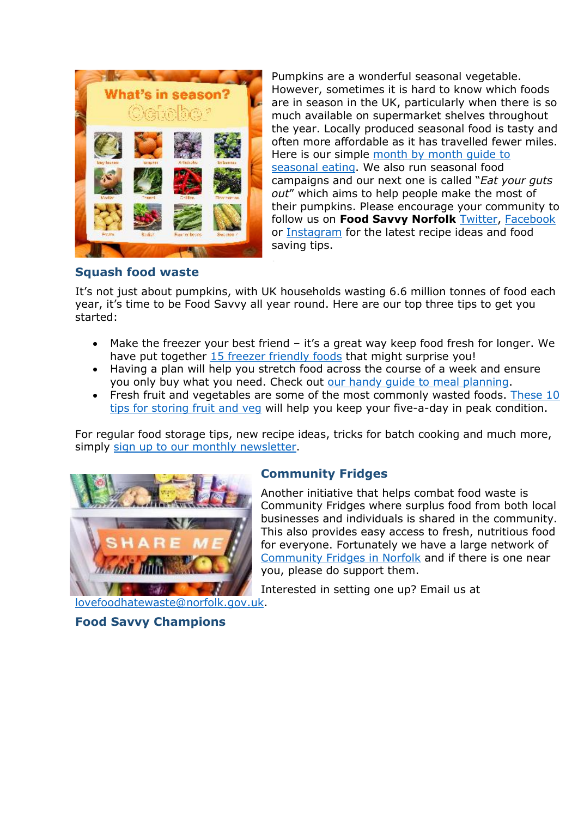

Pumpkins are a wonderful seasonal vegetable. However, sometimes it is hard to know which foods are in season in the UK, particularly when there is so much available on supermarket shelves throughout the year. Locally produced seasonal food is tasty and often more affordable as it has travelled fewer miles. Here is our simple [month by month guide to](https://www.foodsavvy.org.uk/seasonal-eating)  [seasonal eating.](https://www.foodsavvy.org.uk/seasonal-eating) We also run seasonal food campaigns and our next one is called "*Eat your guts out*" which aims to help people make the most of their pumpkins. Please encourage your community to follow us on **Food Savvy Norfolk** [Twitter,](https://twitter.com/notifications/mentions) [Facebook](https://www.facebook.com/FoodSavvyNfk) or [Instagram](https://www.instagram.com/foodsavvynfk/) for the latest recipe ideas and food saving tips.

## **Squash food waste**

It's not just about pumpkins, with UK households wasting 6.6 million tonnes of food each year, it's time to be Food Savvy all year round. Here are our top three tips to get you started:

- Make the freezer your best friend it's a great way keep food fresh for longer. We have put together [15 freezer friendly foods](https://www.hubbub.org.uk/15-freezer-friendly-foods) that might surprise you!
- Having a plan will help you stretch food across the course of a week and ensure you only buy what you need. Check out our handy quide to meal planning.
- Fresh fruit and vegetables are some of the most commonly wasted foods. These 10 [tips for storing fruit and veg](https://www.foodsavvy.org.uk/store-it-like-a-pro) will help you keep your five-a-day in peak condition.

For regular food storage tips, new recipe ideas, tricks for batch cooking and much more, simply [sign up to our monthly newsletter.](https://hubbub.us9.list-manage.com/subscribe?u=67b4819223cbe3616e119e7c7&id=b73596390e)



# **Community Fridges**

Another initiative that helps combat food waste is Community Fridges where surplus food from both local businesses and individuals is shared in the community. This also provides easy access to fresh, nutritious food for everyone. Fortunately we have a large network of [Community Fridges in Norfolk](https://www.norfolkrecycles.com/reduce-my-rubbish/food-waste/communityfridges/) and if there is one near you, please do support them.

Interested in setting one up? Email us at

**Food Savvy Champions**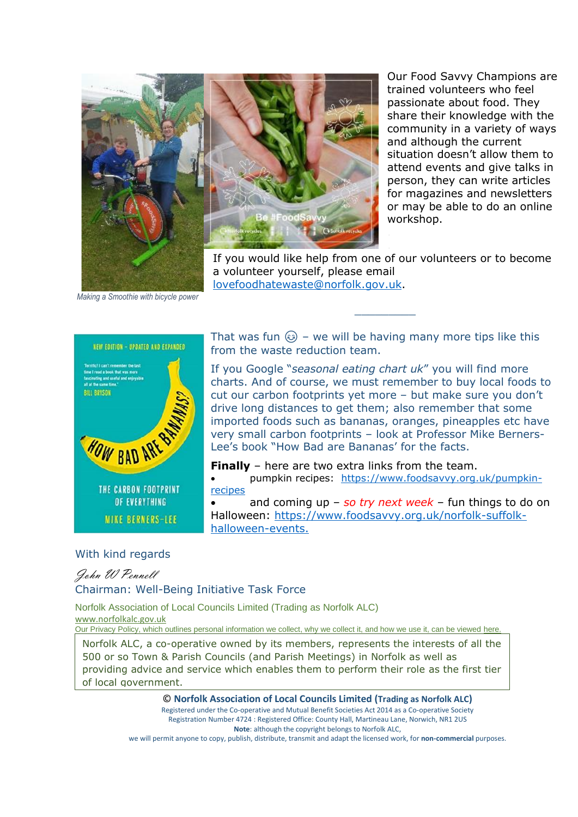



Our Food Savvy Champions are trained volunteers who feel passionate about food. They share their knowledge with the community in a variety of ways and although the current situation doesn't allow them to attend events and give talks in person, they can write articles for magazines and newsletters or may be able to do an online workshop.

If you would like help from one of our volunteers or to become a volunteer yourself, please email [lovefoodhatewaste@norfolk.gov.uk.](mailto:lovefoodhatewaste@norfolk.gov.uk)

 $\mathcal{L}=\mathcal{L}$ 

*Making a Smoothie with bicycle power*



That was fun  $\circled{e}$  – we will be having many more tips like this from the waste reduction team.

If you Google "*seasonal eating chart uk*" you will find more charts. And of course, we must remember to buy local foods to cut our carbon footprints yet more – but make sure you don't drive long distances to get them; also remember that some imported foods such as bananas, oranges, pineapples etc have very small carbon footprints – look at Professor Mike Berners-Lee's book "How Bad are Bananas' for the facts.

**Finally** – here are two extra links from the team. • pumpkin recipes: [https://www.foodsavvy.org.uk/pumpkin](https://www.foodsavvy.org.uk/pumpkin-recipes)[recipes](https://www.foodsavvy.org.uk/pumpkin-recipes)

• and coming up – *so try next week* – fun things to do on Halloween: [https://www.foodsavvy.org.uk/norfolk-suffolk](https://www.foodsavvy.org.uk/norfolk-suffolk-halloween-events.)[halloween-events.](https://www.foodsavvy.org.uk/norfolk-suffolk-halloween-events.)

#### With kind regards

John W Pennell

#### Chairman: Well-Being Initiative Task Force

Norfolk Association of Local Councils Limited (Trading as Norfolk ALC) [www.norfolkalc.gov.uk](http://www.norfolkalc.gov.uk/)

Our Privacy Policy, which outlines personal information we collect, why we collect it, and how we use it, can be viewed [here](http://www.norfolkalc.gov.uk/norfolk-association-of-local-cou.html).

Norfolk ALC, a co-operative owned by its members, represents the interests of all the 500 or so Town & Parish Councils (and Parish Meetings) in Norfolk as well as providing advice and service which enables them to perform their role as the first tier of local government.

> © **Norfolk Association of Local Councils Limited (Trading as Norfolk ALC)** Registered under the Co-operative and Mutual Benefit Societies Act 2014 as a Co-operative Society Registration Number 4724 : Registered Office: County Hall, Martineau Lane, Norwich, NR1 2US **Note**: although the copyright belongs to Norfolk ALC,

we will permit anyone to copy, publish, distribute, transmit and adapt the licensed work, for **non-commercial** purposes.